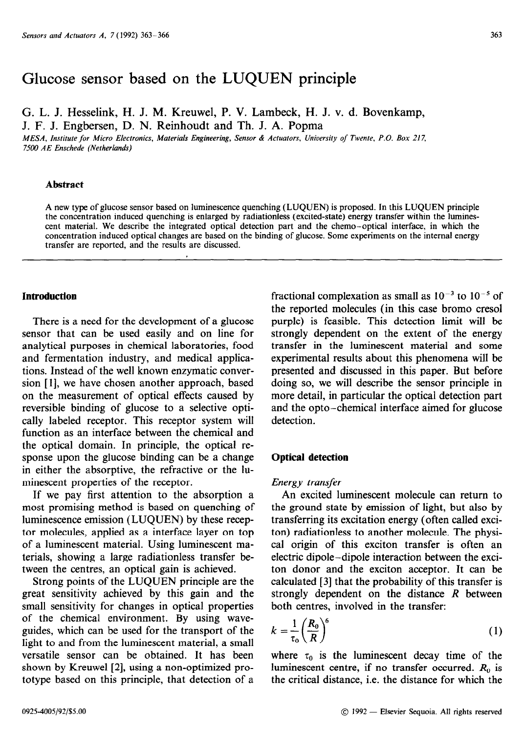# Glucose sensor based on the LUQUEN principle

G. L. J. Hesselink, H. J. M. Kreuwel, P. V. Lambeck, H. J. v. d. Bovenkamp, J. F. J. Engbersen, D. N. Reinhoudt and Th. J. A. Popma

*MESA, Institute for Micro Electronics, Materials Engineering, Sensor & Actuators, University of Twente, P.O. Box 217, 7500 AE Enschede (Netherlands)* 

# **Abstract**

A new type of glucose sensor based on luminescence quenching (LLJQUEN) is proposed. In this LUQUEN principle the concentration induced quenching is enlarged by radiationless (excited-state) energy transfer within the luminescent material. We describe the integrated optical detection part and the chemo-optical interface, in which the concentration induced optical changes are based on the binding of glucose. Some experiments on the internal energy transfer are reported, and the results are discussed.

## **Introduction**

There is a need for the development of a glucose sensor that can be used easily and on line for analytical purposes in chemical laboratories, food and fermentation industry, and medical applications. Instead of the well known enzymatic conversion [I], we have chosen another approach, based on the measurement of optical effects caused by reversible binding of glucose to a selective optically labeled receptor. This receptor system will function as an interface between the chemical and the optical domain. In principle, the optical response upon the glucose binding can be a change in either the absorptive, the refractive or the luminescent properties of the receptor.

If we pay first attention to the absorption a most promising method is based on quenching of luminescence emission (LUQUEN) by these receptor molecules, applied as a interface layer on top of a luminescent material. Using luminescent materials, showing a large radiationless transfer between the centres, an optical gain is achieved.

Strong points of the LUQUEN principle are the great sensitivity achieved by this gain and the small sensitivity for changes in optical properties of the chemical environment. By using waveguides, which can be used for the transport of the light to and from the luminescent material, a small versatile sensor can be obtained. It has been shown by Kreuwel [2], using a non-optimized prototype based on this principle, that detection of a

fractional complexation as small as  $10^{-3}$  to  $10^{-5}$  of the reported molecules (in this case bromo cresol purple) is feasible. This detection limit will be strongly dependent on the extent of the energy transfer in the luminescent material and some experimental results about this phenomena will be presented and discussed in this paper. But before doing so, we will describe the sensor principle in more detail, in particular the optical detection part and the opto-chemical interface aimed for glucose detection.

### **Optical detection**

## *Energy transfer*

An excited luminescent molecule can return to the ground state by emission of light, but also by transferring its excitation energy (often called exciton) radiationless to another molecule. The physical origin of this exciton transfer is often an electric dipole-dipole interaction between the exciton donor and the exciton acceptor. It can be calculated [3] that the probability of this transfer is strongly dependent on the distance *R* between both centres, involved in the transfer:

$$
k = \frac{1}{\tau_0} \left(\frac{R_0}{R}\right)^6 \tag{1}
$$

where  $\tau_0$  is the luminescent decay time of the luminescent centre, if no transfer occurred.  $R_0$  is the critical distance, i.e. the distance for which the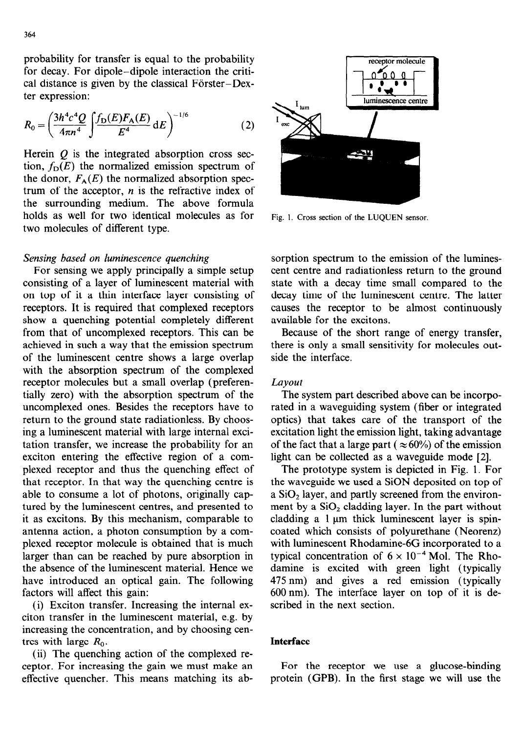probability for transfer is equal to the probability for decay. For dipole-dipole interaction the critical distance is given by the classical Förster-Dexter expression:

$$
R_0 = \left(\frac{3h^4c^4Q}{4\pi n^4} \int \frac{f_D(E)F_A(E)}{E^4} dE\right)^{-1/6}
$$
 (2)

Herein  $Q$  is the integrated absorption cross section,  $f_D(E)$  the normalized emission spectrum of the donor,  $F_A(E)$  the normalized absorption spectrum of the acceptor,  $n$  is the refractive index of the surrounding medium. The above formula holds as well for two identical molecules as for Fig. 1. Cross section of the LUQUEN sensor. two molecules of different type.

# *Sensing based on luminescence quenching*

For sensing we apply principally a simple setup consisting of a layer of luminescent material with on top of it a thin interface layer consisting of receptors. It is required that complexed receptors show a quenching potential completely different from that of uncomplexed receptors. This can be achieved in such a way that the emission spectrum of the luminescent centre shows a large overlap with the absorption spectrum of the complexed receptor molecules but a small overlap (preferentially zero) with the absorption spectrum of the uncomplexed ones. Besides the receptors have to return to the ground state radiationless. By choosing a luminescent material with large internal excitation transfer, we increase the probability for an exciton entering the effective region of a complexed receptor and thus the quenching effect of that receptor. In that way the quenching centre is able to consume a lot of photons, originally captured by the luminescent centres, and presented to it as excitons. By this mechanism, comparable to antenna action, a photon consumption by a complexed receptor molecule is obtained that is much larger than can be reached by pure absorption in the absence of the luminescent material. Hence we have introduced an optical gain. The following factors will affect this gain:

(i) Exciton transfer. Increasing the internal exciton transfer in the luminescent material, e.g. by increasing the concentration, and by choosing centres with large  $R_0$ .

(ii) The quenching action of the complexed receptor. For increasing the gain we must make an effective quencher. This means matching its ab-



sorption spectrum to the emission of the luminescent centre and radiationless return to the ground state with a decay time small compared to the decay time of the luminescent centre. The latter causes the receptor to be almost continuously available for the excitons.

Because of the short range of energy transfer, there is only a small sensitivity for molecules outside the interface.

# *Layout*

The system part described above can be incorporated in a waveguiding system (fiber or integrated optics) that takes care of the transport of the excitation light the emission light, taking advantage of the fact that a large part ( $\approx 60\%$ ) of the emission light can be collected as a waveguide mode [2].

The prototype system is depicted in Fig. 1. For the waveguide we used a SiON deposited on top of a  $SiO<sub>2</sub>$  layer, and partly screened from the environment by a  $SiO<sub>2</sub>$  cladding layer. In the part without cladding a  $1 \mu m$  thick luminescent layer is spincoated which consists of polyurethane (Neorenz) with luminescent Rhodamine-6G incorporated to a typical concentration of  $6 \times 10^{-4}$  Mol. The Rhodamine is excited with green light (typically 475 nm) and gives a red emission (typically 600 nm). The interface layer on top of it is described in the next section.

#### **Interface**

For the receptor we use a glucose-binding protein (GPB). In the first stage we will use the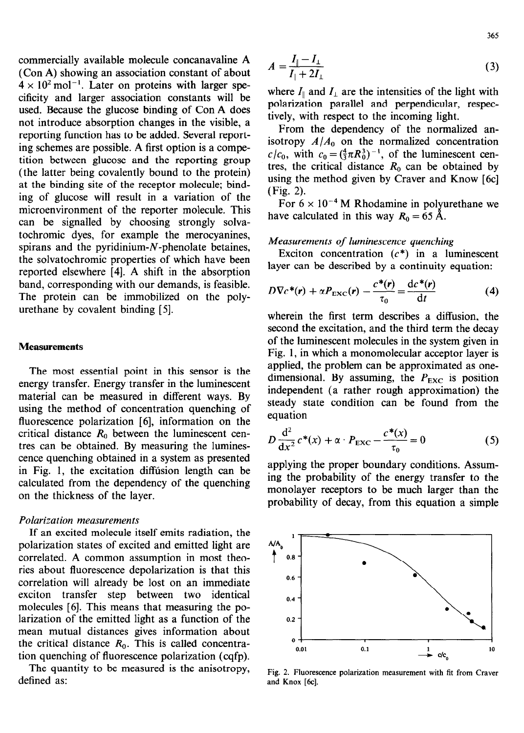commercially available molecule concanavaline A (Con A) showing an association constant of about  $4 \times 10^{2}$  mol<sup>-1</sup>. Later on proteins with larger specificity and larger association constants will be used. Because the glucose binding of Con A does not introduce absorption changes in the visible, a reporting function has to be added. Several reporting schemes are possible. A first option is a competition between glucose and the reporting group (the latter being covalently bound to the protein) at the binding site of the receptor molecule; binding of glucose will result in a variation of the microenvironment of the reporter molecule. This can be signalled by choosing strongly solvatochromic dyes, for example the merocyanines, spirans and the pyridinium- $N$ -phenolate betaines, the solvatochromic properties of which have been reported elsewhere [4]. A shift in the absorption band, corresponding with our demands, is feasible. The protein can be immobilized on the polyurethane by covalent binding [5].

#### **Measurements**

The most essential point in this sensor is the energy transfer. Energy transfer in the luminescent material can be measured in different ways. By using the method of concentration quenching of fluorescence polarization [6], information on the critical distance  $R_0$  between the luminescent centres can be obtained. By measuring the luminescence quenching obtained in a system as presented in Fig. 1, the excitation diffusion length can be calculated from the dependency of the quenching on the thickness of the layer.

## *Polarization measurements*

If an excited molecule itself emits radiation, the polarization states of excited and emitted light are correlated. A common assumption in most theories about fluorescence depolarization is that this correlation will already be lost on an immediate exciton transfer step between two identical molecules [6]. This means that measuring the polarization of the emitted light as a function of the mean mutual distances gives information about the critical distance  $R_0$ . This is called concentration quenching of fluorescence polarization (cqfp).

The quantity to be measured is the anisotropy, defined as:

$$
A = \frac{I_{\parallel} - I_{\perp}}{I_{\parallel} + 2I_{\perp}} \tag{3}
$$

where  $I_{\parallel}$  and  $I_{\perp}$  are the intensities of the light with polarization parallel and perpendicular, respectively, with respect to the incoming light.

From the dependency of the normalized anisotropy  $A/A_0$  on the normalized concentration  $c/c_0$ , with  $c_0 = (\frac{4}{3}\pi R_0^3)^{-1}$ , of the luminescent centres, the critical distance  $R_0$  can be obtained by using the method given by Craver and Know [6c] (Fig. 2).

For  $6 \times 10^{-4}$  M Rhodamine in polyurethane we have calculated in this way  $R_0 = 65$  Å.

# *Measurements of luminescence quenching*

Exciton concentration  $(c^*)$  in a luminescent layer can be described by a continuity equation:

$$
D\nabla c^*(\mathbf{r}) + \alpha P_{\text{EXC}}(\mathbf{r}) - \frac{c^*(\mathbf{r})}{\tau_0} = \frac{\mathrm{d}c^*(\mathbf{r})}{\mathrm{d}t}
$$
(4)

wherein the first term describes a diffusion, the second the excitation, and the third term the decay of the luminescent molecules in the system given in Fig. 1, in which a monomolecular acceptor layer is applied, the problem can be approximated as onedimensional. By assuming, the  $P_{\text{EXC}}$  is position independent (a rather rough approximation) the steady state condition can be found from the equation

$$
D\frac{d^{2}}{dx^{2}}c^{*}(x) + \alpha \cdot P_{\text{EXC}} - \frac{c^{*}(x)}{\tau_{0}} = 0
$$
 (5)

applying the proper boundary conditions. Assuming the probability of the energy transfer to the monolayer receptors to be much larger than the probability of decay, from this equation a simple



Fig. 2. Fluorescence polarization measurement with fit from Craver and Knox [6c].